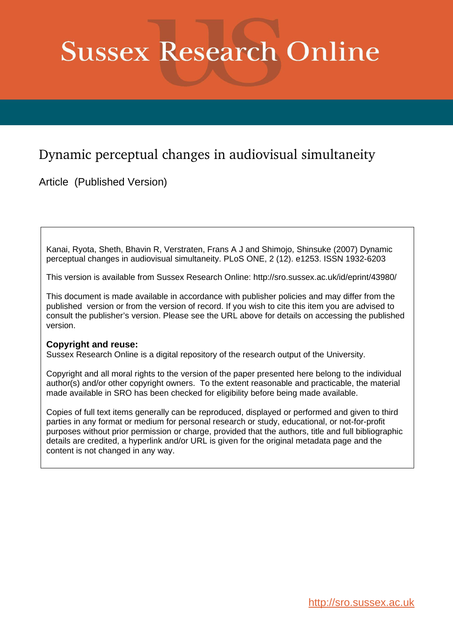# **Sussex Research Online**

# Dynamic perceptual changes in audiovisual simultaneity

Article (Published Version)

Kanai, Ryota, Sheth, Bhavin R, Verstraten, Frans A J and Shimojo, Shinsuke (2007) Dynamic perceptual changes in audiovisual simultaneity. PLoS ONE, 2 (12). e1253. ISSN 1932-6203

This version is available from Sussex Research Online: http://sro.sussex.ac.uk/id/eprint/43980/

This document is made available in accordance with publisher policies and may differ from the published version or from the version of record. If you wish to cite this item you are advised to consult the publisher's version. Please see the URL above for details on accessing the published version.

# **Copyright and reuse:**

Sussex Research Online is a digital repository of the research output of the University.

Copyright and all moral rights to the version of the paper presented here belong to the individual author(s) and/or other copyright owners. To the extent reasonable and practicable, the material made available in SRO has been checked for eligibility before being made available.

Copies of full text items generally can be reproduced, displayed or performed and given to third parties in any format or medium for personal research or study, educational, or not-for-profit purposes without prior permission or charge, provided that the authors, title and full bibliographic details are credited, a hyperlink and/or URL is given for the original metadata page and the content is not changed in any way.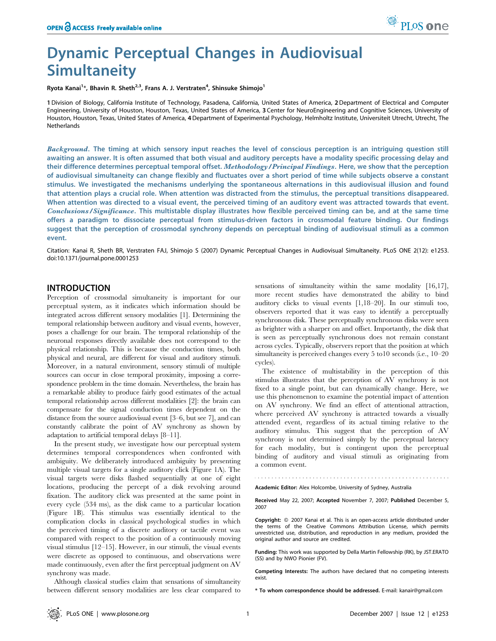# Dynamic Perceptual Changes in Audiovisual **Simultaneity**

Ryota Kanai<sup>1</sup>\*, Bhavin R. Sheth<sup>2,3</sup>, Frans A. J. Verstraten<sup>4</sup>, Shinsuke Shimojo<sup>1</sup>

1Division of Biology, California Institute of Technology, Pasadena, California, United States of America, 2Department of Electrical and Computer Engineering, University of Houston, Houston, Texas, United States of America, 3 Center for NeuroEngineering and Cognitive Sciences, University of Houston, Houston, Texas, United States of America, 4Department of Experimental Psychology, Helmholtz Institute, Universiteit Utrecht, Utrecht, The Netherlands

Background. The timing at which sensory input reaches the level of conscious perception is an intriguing question still awaiting an answer. It is often assumed that both visual and auditory percepts have a modality specific processing delay and their difference determines perceptual temporal offset. Methodology/Principal Findings. Here, we show that the perception of audiovisual simultaneity can change flexibly and fluctuates over a short period of time while subjects observe a constant stimulus. We investigated the mechanisms underlying the spontaneous alternations in this audiovisual illusion and found that attention plays a crucial role. When attention was distracted from the stimulus, the perceptual transitions disappeared. When attention was directed to a visual event, the perceived timing of an auditory event was attracted towards that event. Conclusions/Significance. This multistable display illustrates how flexible perceived timing can be, and at the same time offers a paradigm to dissociate perceptual from stimulus-driven factors in crossmodal feature binding. Our findings suggest that the perception of crossmodal synchrony depends on perceptual binding of audiovisual stimuli as a common event.

Citation: Kanai R, Sheth BR, Verstraten FAJ, Shimojo S (2007) Dynamic Perceptual Changes in Audiovisual Simultaneity. PLoS ONE 2(12): e1253. doi:10.1371/journal.pone.0001253

#### INTRODUCTION

Perception of crossmodal simultaneity is important for our perceptual system, as it indicates which information should be integrated across different sensory modalities [1]. Determining the temporal relationship between auditory and visual events, however, poses a challenge for our brain. The temporal relationship of the neuronal responses directly available does not correspond to the physical relationship. This is because the conduction times, both physical and neural, are different for visual and auditory stimuli. Moreover, in a natural environment, sensory stimuli of multiple sources can occur in close temporal proximity, imposing a correspondence problem in the time domain. Nevertheless, the brain has a remarkable ability to produce fairly good estimates of the actual temporal relationship across different modalities [2]: the brain can compensate for the signal conduction times dependent on the distance from the source audiovisual event [3–6, but see 7], and can constantly calibrate the point of AV synchrony as shown by adaptation to artificial temporal delays [8–11].

In the present study, we investigate how our perceptual system determines temporal correspondences when confronted with ambiguity. We deliberately introduced ambiguity by presenting multiple visual targets for a single auditory click (Figure 1A). The visual targets were disks flashed sequentially at one of eight locations, producing the percept of a disk revolving around fixation. The auditory click was presented at the same point in every cycle (534 ms), as the disk came to a particular location (Figure 1B). This stimulus was essentially identical to the complication clocks in classical psychological studies in which the perceived timing of a discrete auditory or tactile event was compared with respect to the position of a continuously moving visual stimulus [12–15]. However, in our stimuli, the visual events were discrete as opposed to continuous, and observations were made continuously, even after the first perceptual judgment on AV synchrony was made.

Although classical studies claim that sensations of simultaneity between different sensory modalities are less clear compared to sensations of simultaneity within the same modality [16,17], more recent studies have demonstrated the ability to bind auditory clicks to visual events [1,18–20]. In our stimuli too, observers reported that it was easy to identify a perceptually synchronous disk. These perceptually synchronous disks were seen as brighter with a sharper on and offset. Importantly, the disk that is seen as perceptually synchronous does not remain constant across cycles. Typically, observers report that the position at which simultaneity is perceived changes every 5 to10 seconds (i.e., 10–20 cycles).

The existence of multistability in the perception of this stimulus illustrates that the perception of AV synchrony is not fixed to a single point, but can dynamically change. Here, we use this phenomenon to examine the potential impact of attention on AV synchrony. We find an effect of attentional attraction, where perceived AV synchrony is attracted towards a visually attended event, regardless of its actual timing relative to the auditory stimulus. This suggest that the perception of AV synchrony is not determined simply by the perceptual latency for each modality, but is contingent upon the perceptual binding of auditory and visual stimuli as originating from a common event.

Academic Editor: Alex Holcombe, University of Sydney, Australia

Received May 22, 2007; Accepted November 7, 2007; Published December 5, 2007

Copyright: © 2007 Kanai et al. This is an open-access article distributed under the terms of the Creative Commons Attribution License, which permits unrestricted use, distribution, and reproduction in any medium, provided the original author and source are credited.

Funding: This work was supported by Della Martin Fellowship (RK), by JST.ERATO (SS) and by NWO Pionier (FV).

Competing Interests: The authors have declared that no competing interests exist.

\* To whom correspondence should be addressed. E-mail: kanair@gmail.com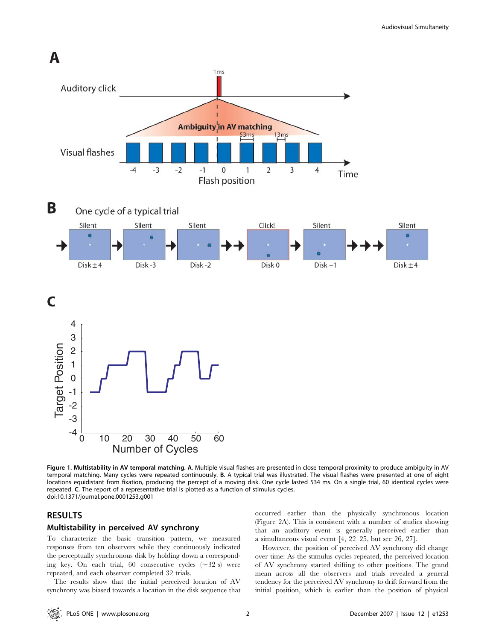

Figure 1. Multistability in AV temporal matching. A. Multiple visual flashes are presented in close temporal proximity to produce ambiguity in AV temporal matching. Many cycles were repeated continuously. B. A typical trial was illustrated. The visual flashes were presented at one of eight locations equidistant from fixation, producing the percept of a moving disk. One cycle lasted 534 ms. On a single trial, 60 identical cycles were repeated. C. The report of a representative trial is plotted as a function of stimulus cycles. doi:10.1371/journal.pone.0001253.g001

## RESULTS

#### Multistability in perceived AV synchrony

To characterize the basic transition pattern, we measured responses from ten observers while they continuously indicated the perceptually synchronous disk by holding down a corresponding key. On each trial, 60 consecutive cycles  $(\sim 32 \text{ s})$  were repeated, and each observer completed 32 trials.

The results show that the initial perceived location of AV synchrony was biased towards a location in the disk sequence that occurred earlier than the physically synchronous location (Figure 2A). This is consistent with a number of studies showing that an auditory event is generally perceived earlier than a simultaneous visual event [4, 22–25, but see 26, 27].

However, the position of perceived AV synchrony did change over time: As the stimulus cycles repeated, the perceived location of AV synchrony started shifting to other positions. The grand mean across all the observers and trials revealed a general tendency for the perceived AV synchrony to drift forward from the initial position, which is earlier than the position of physical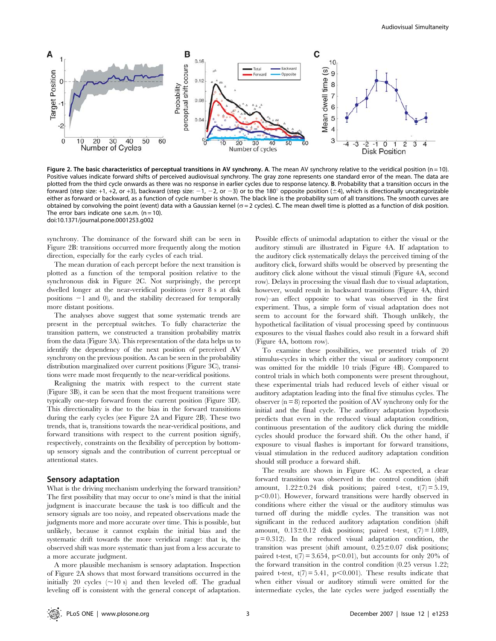

Figure 2. The basic characteristics of perceptual transitions in AV synchrony. A. The mean AV synchrony relative to the veridical position (n = 10). Positive values indicate forward shifts of perceived audiovisual synchrony. The gray zone represents one standard error of the mean. The data are plotted from the third cycle onwards as there was no response in earlier cycles due to response latency. B. Probability that a transition occurs in the forward (step size: +1, +2, or +3), backward (step size:  $-1$ ,  $-2$ , or  $-3$ ) or to the 180<sup>°</sup> opposite position ( $\pm$ 4), which is directionally uncategorizable either as forward or backward, as a function of cycle number is shown. The black line is the probability sum of all transitions. The smooth curves are obtained by convolving the point (event) data with a Gaussian kernel (*s*= 2 cycles). C. The mean dwell time is plotted as a function of disk position. The error bars indicate one s.e.m.  $(n = 10)$ . doi:10.1371/journal.pone.0001253.g002

synchrony. The dominance of the forward shift can be seen in Figure 2B: transitions occurred more frequently along the motion direction, especially for the early cycles of each trial.

The mean duration of each percept before the next transition is plotted as a function of the temporal position relative to the synchronous disk in Figure 2C. Not surprisingly, the percept dwelled longer at the near-veridical positions (over 8 s at disk positions  $-1$  and 0), and the stability decreased for temporally more distant positions.

The analyses above suggest that some systematic trends are present in the perceptual switches. To fully characterize the transition pattern, we constructed a transition probability matrix from the data (Figure 3A). This representation of the data helps us to identify the dependency of the next position of perceived AV synchrony on the previous position. As can be seen in the probability distribution marginalized over current positions (Figure 3C), transitions were made most frequently to the near-veridical positions.

Realigning the matrix with respect to the current state (Figure 3B), it can be seen that the most frequent transitions were typically one-step forward from the current position (Figure 3D). This directionality is due to the bias in the forward transitions during the early cycles (see Figure 2A and Figure 2B). These two trends, that is, transitions towards the near-veridical positions, and forward transitions with respect to the current position signify, respectively, constraints on the flexibility of perception by bottomup sensory signals and the contribution of current perceptual or attentional states.

#### Sensory adaptation

What is the driving mechanism underlying the forward transition? The first possibility that may occur to one's mind is that the initial judgment is inaccurate because the task is too difficult and the sensory signals are too noisy, and repeated observations made the judgments more and more accurate over time. This is possible, but unlikely, because it cannot explain the initial bias and the systematic drift towards the more veridical range: that is, the observed shift was more systematic than just from a less accurate to a more accurate judgment.

A more plausible mechanism is sensory adaptation. Inspection of Figure 2A shows that most forward transitions occurred in the initially 20 cycles  $(\sim 10 \text{ s})$  and then leveled off. The gradual leveling off is consistent with the general concept of adaptation.

Possible effects of unimodal adaptation to either the visual or the auditory stimuli are illustrated in Figure 4A. If adaptation to the auditory click systematically delays the perceived timing of the auditory click, forward shifts would be observed by presenting the auditory click alone without the visual stimuli (Figure 4A, second row). Delays in processing the visual flash due to visual adaptation, however, would result in backward transitions (Figure 4A, third row)–an effect opposite to what was observed in the first experiment. Thus, a simple form of visual adaptation does not seem to account for the forward shift. Though unlikely, the hypothetical facilitation of visual processing speed by continuous exposures to the visual flashes could also result in a forward shift (Figure 4A, bottom row).

To examine these possibilities, we presented trials of 20 stimulus-cycles in which either the visual or auditory component was omitted for the middle 10 trials (Figure 4B). Compared to control trials in which both components were present throughout, these experimental trials had reduced levels of either visual or auditory adaptation leading into the final five stimulus cycles. The observer  $(n = 8)$  reported the position of AV synchrony only for the initial and the final cycle. The auditory adaptation hypothesis predicts that even in the reduced visual adaptation condition, continuous presentation of the auditory click during the middle cycles should produce the forward shift. On the other hand, if exposure to visual flashes is important for forward transitions, visual stimulation in the reduced auditory adaptation condition should still produce a forward shift.

The results are shown in Figure 4C. As expected, a clear forward transition was observed in the control condition (shift amount,  $1.22 \pm 0.24$  disk positions; paired t-test,  $t(7) = 5.19$ ,  $p<0.01$ ). However, forward transitions were hardly observed in conditions where either the visual or the auditory stimulus was turned off during the middle cycles. The transition was not significant in the reduced auditory adaptation condition (shift amount,  $0.13 \pm 0.12$  disk positions; paired t-test,  $t(7) = 1.089$ ,  $p = 0.312$ ). In the reduced visual adaptation condition, the transition was present (shift amount,  $0.25 \pm 0.07$  disk positions; paired t-test,  $t(7) = 3.654$ ,  $p < 0.01$ ), but accounts for only 20% of the forward transition in the control condition (0.25 versus 1.22; paired t-test,  $t(7) = 5.41$ ,  $p < 0.001$ ). These results indicate that when either visual or auditory stimuli were omitted for the intermediate cycles, the late cycles were judged essentially the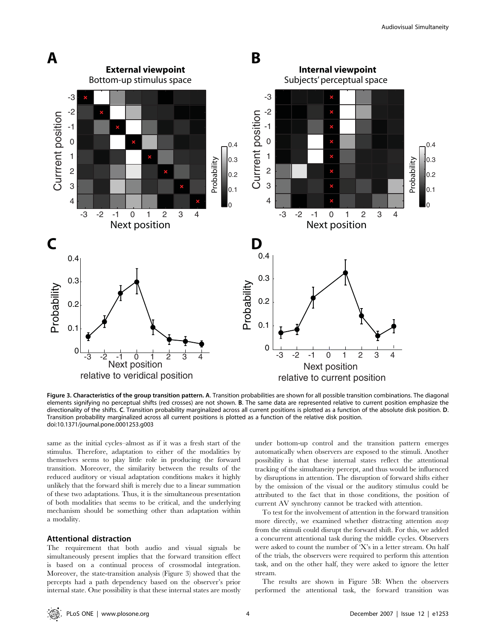

Figure 3. Characteristics of the group transition pattern. A. Transition probabilities are shown for all possible transition combinations. The diagonal elements signifying no perceptual shifts (red crosses) are not shown. B. The same data are represented relative to current position emphasize the directionality of the shifts. C. Transition probability marginalized across all current positions is plotted as a function of the absolute disk position. D. Transition probability marginalized across all current positions is plotted as a function of the relative disk position. doi:10.1371/journal.pone.0001253.g003

same as the initial cycles–almost as if it was a fresh start of the stimulus. Therefore, adaptation to either of the modalities by themselves seems to play little role in producing the forward transition. Moreover, the similarity between the results of the reduced auditory or visual adaptation conditions makes it highly unlikely that the forward shift is merely due to a linear summation of these two adaptations. Thus, it is the simultaneous presentation of both modalities that seems to be critical, and the underlying mechanism should be something other than adaptation within a modality.

## Attentional distraction

The requirement that both audio and visual signals be simultaneously present implies that the forward transition effect is based on a continual process of crossmodal integration. Moreover, the state-transition analysis (Figure 3) showed that the percepts had a path dependency based on the observer's prior internal state. One possibility is that these internal states are mostly under bottom-up control and the transition pattern emerges automatically when observers are exposed to the stimuli. Another possibility is that these internal states reflect the attentional tracking of the simultaneity percept, and thus would be influenced by disruptions in attention. The disruption of forward shifts either by the omission of the visual or the auditory stimulus could be attributed to the fact that in those conditions, the position of current AV synchrony cannot be tracked with attention.

To test for the involvement of attention in the forward transition more directly, we examined whether distracting attention away from the stimuli could disrupt the forward shift. For this, we added a concurrent attentional task during the middle cycles. Observers were asked to count the number of 'X's in a letter stream. On half of the trials, the observers were required to perform this attention task, and on the other half, they were asked to ignore the letter stream.

The results are shown in Figure 5B: When the observers performed the attentional task, the forward transition was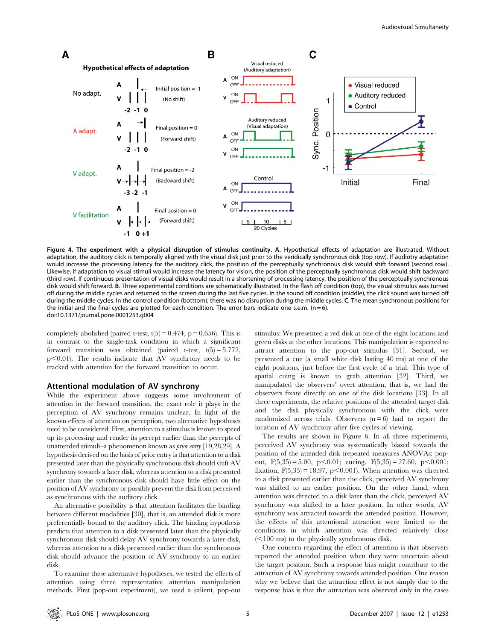

Figure 4. The experiment with a physical disruption of stimulus continuity. A. Hypothetical effects of adaptation are illustrated. Without adaptation, the auditory click is temporally aligned with the visual disk just prior to the veridically synchronous disk (top row). If audiotry adaptation would increase the processing latency for the auditory click, the position of the perceptually synchronous disk would shift forward (second row). Likewise, if adaptation to visual stimuli would increase the latency for vision, the position of the perceptually synchronous disk would shift backward (third row). If continuous presentation of visual disks would result in a shortening of processing latency, the position of the perceptually synchronous disk would shift forward. B. Three experimental conditions are schematically illustrated. In the flash off condition (top), the visual stimulus was turned off during the middle cycles and returned to the screen during the last five cycles. In the sound off condition (middle), the click sound was turned off during the middle cycles. In the control condition (botttom), there was no disruption during the middle cycles. C. The mean synchronous positions for the initial and the final cycles are plotted for each condition. The error bars indicate one s.e.m. ( $n = 6$ ). doi:10.1371/journal.pone.0001253.g004

completely abolished (paired t-test,  $t(5) = 0.474$ ,  $p = 0.656$ ). This is in contrast to the single-task condition in which a significant forward transition was obtained (paired t-test,  $t(5) = 5.772$ ,  $p<0.01$ ). The results indicate that AV synchrony needs to be tracked with attention for the forward transition to occur.

#### Attentional modulation of AV synchrony

While the experiment above suggests some involvement of attention in the forward transition, the exact role it plays in the perception of AV synchrony remains unclear. In light of the known effects of attention on perception, two alternative hypotheses need to be considered. First, attention to a stimulus is known to speed up its processing and render its percept earlier than the percepts of unattended stimuli–a phenomenon known as prior entry [19,28,29]. A hypothesis derived on the basis of prior entry is that attention to a disk presented later than the physically synchronous disk should shift AV synchrony towards a later disk, whereas attention to a disk presented earlier than the synchronous disk should have little effect on the position of AV synchrony or possibly prevent the disk from perceived as synchronous with the auditory click.

An alternative possibility is that attention facilitates the binding between different modalities [30], that is, an attended disk is more preferentially bound to the auditory click. The binding hypothesis predicts that attention to a disk presented later than the physically synchronous disk should delay AV synchrony towards a later disk, whereas attention to a disk presented earlier than the synchronous disk should advance the position of AV synchrony to an earlier disk.

To examine these alternative hypotheses, we tested the effects of attention using three representative attention manipulation methods. First (pop-out experiment), we used a salient, pop-out

stimulus: We presented a red disk at one of the eight locations and green disks at the other locations. This manipulation is expected to attract attention to the pop-out stimulus [31]. Second, we presented a cue (a small white disk lasting 40 ms) at one of the eight positions, just before the first cycle of a trial. This type of spatial cuing is known to grab attention [32]. Third, we manipulated the observers' overt attention, that is, we had the observers fixate directly on one of the disk locations [33]. In all three experiments, the relative positions of the attended target disk and the disk physically synchronous with the click were randomized across trials. Observers  $(n=6)$  had to report the location of AV synchrony after five cycles of viewing.

The results are shown in Figure 6. In all three experiments, perceived AV synchrony was systematically biased towards the position of the attended disk (repeated measures ANOVAs: popout,  $F(5,35) = 5.00$ ,  $p < 0.01$ ; cueing,  $F(5,35) = 27.60$ ,  $p < 0.001$ ; fixation,  $F(5,35) = 18.97$ ,  $p < 0.001$ ). When attention was directed to a disk presented earlier than the click, perceived AV synchrony was shifted to an earlier position. On the other hand, when attention was directed to a disk later than the click, perceived AV synchrony was shifted to a later position. In other words, AV synchrony was attracted towards the attended position. However, the effects of this attentional attraction were limited to the conditions in which attention was directed relatively close  $(<100$  ms) to the physically synchronous disk.

One concern regarding the effect of attention is that observers reported the attended position when they were uncertain about the target position. Such a response bias might contribute to the attraction of AV synchrony towards attended position. One reason why we believe that the attraction effect is not simply due to the response bias is that the attraction was observed only in the cases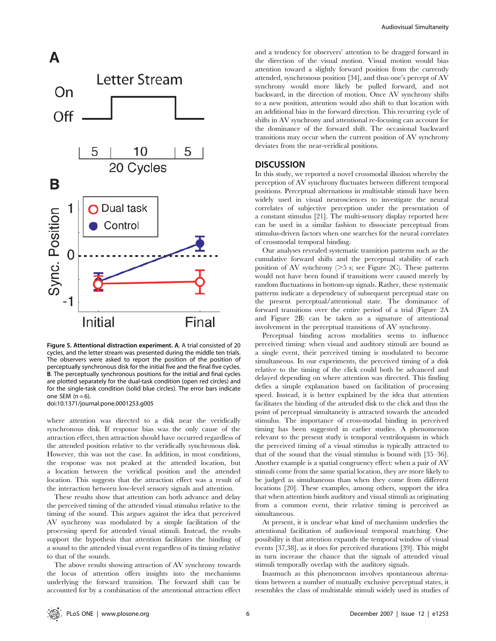

Figure 5. Attentional distraction experiment. A. A trial consisted of 20 cycles, and the letter stream was presented during the middle ten trials. The observers were asked to report the position of the position of perceptually synchronous disk for the initial five and the final five cycles. B. The perceptually synchronous positions for the initial and final cycles are plotted separately for the dual-task condition (open red circles) and for the single-task condition (solid blue circles). The error bars indicate one SEM  $(n=6)$ . doi:10.1371/journal.pone.0001253.g005

where attention was directed to a disk near the veridically synchronous disk. If response bias was the only cause of the attraction effect, then attraction should have occurred regardless of the attended position relative to the veridically synchronous disk. However, this was not the case. In addition, in most conditions, the response was not peaked at the attended location, but a location between the veridical position and the attended location. This suggests that the attraction effect was a result of the interaction between low-level sensory signals and attention.

These results show that attention can both advance and delay the perceived timing of the attended visual stimulus relative to the timing of the sound. This argues against the idea that perceived AV synchrony was modulated by a simple facilitation of the processing speed for attended visual stimuli. Instead, the results support the hypothesis that attention facilitates the binding of a sound to the attended visual event regardless of its timing relative to that of the sounds.

The above results showing attraction of AV synchrony towards the locus of attention offers insights into the mechanisms underlying the forward transition. The forward shift can be accounted for by a combination of the attentional attraction effect

and a tendency for observers' attention to be dragged forward in the direction of the visual motion. Visual motion would bias attention toward a slightly forward position from the currently attended, synchronous position [34], and thus one's percept of AV synchrony would more likely be pulled forward, and not backward, in the direction of motion. Once AV synchrony shifts to a new position, attention would also shift to that location with an additional bias in the forward direction. This recurring cycle of shifts in AV synchrony and attentional re-focusing can account for the dominance of the forward shift. The occasional backward transitions may occur when the current position of AV synchrony deviates from the near-veridical positions.

### **DISCUSSION**

In this study, we reported a novel crossmodal illusion whereby the perception of AV synchrony fluctuates between different temporal positions. Perceptual alternations in multistable stimuli have been widely used in visual neurosciences to investigate the neural correlates of subjective perception under the presentation of a constant stimulus [21]. The multi-sensory display reported here can be used in a similar fashion to dissociate perceptual from stimulus-driven factors when one searches for the neural correlates of crossmodal temporal binding.

Our analyses revealed systematic transition patterns such as the cumulative forward shifts and the perceptual stability of each position of AV synchrony  $(>5 \text{ s}; \text{ see Figure 2C})$ . These patterns would not have been found if transitions were caused merely by random fluctuations in bottom-up signals. Rather, these systematic patterns indicate a dependency of subsequent perceptual state on the present perceptual/attentional state. The dominance of forward transitions over the entire period of a trial (Figure 2A and Figure 2B) can be taken as a signature of attentional involvement in the perceptual transitions of AV synchrony.

Perceptual binding across modalities seems to influence perceived timing: when visual and auditory stimuli are bound as a single event, their perceived timing is modulated to become simultaneous. In our experiments, the perceived timing of a disk relative to the timing of the click could both be advanced and delayed depending on where attention was directed. This finding defies a simple explanation based on facilitation of processing speed. Instead, it is better explained by the idea that attention facilitates the binding of the attended disk to the click and thus the point of perceptual simultaneity is attracted towards the attended stimulus. The importance of cross-modal binding in perceived timing has been suggested in earlier studies. A phenomenon relevant to the present study is temporal ventriloquism in which the perceived timing of a visual stimulus is typically attracted to that of the sound that the visual stimulus is bound with [35–36]. Another example is a spatial congruency effect: when a pair of AV stimuli come from the same spatial location, they are more likely to be judged as simultaneous than when they come from different locations [20]. These examples, among others, support the idea that when attention binds auditory and visual stimuli as originating from a common event, their relative timing is perceived as simultaneous.

At present, it is unclear what kind of mechanism underlies the attentional facilitation of audiovisual temporal matching. One possibility is that attention expands the temporal window of visual events [37,38], as it does for perceived durations [39]. This might in turn increase the chance that the signals of attended visual stimuli temporally overlap with the auditory signals.

Inasmuch as this phenomenon involves spontaneous alternations between a number of mutually exclusive perceptual states, it resembles the class of multistable stimuli widely used in studies of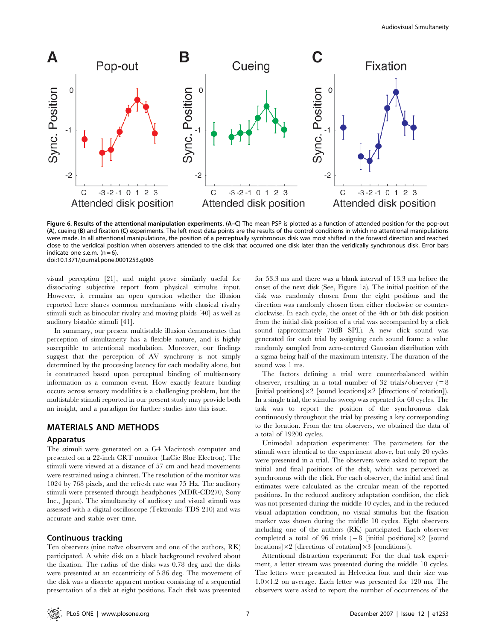

Figure 6. Results of the attentional manipulation experiments. (A–C) The mean PSP is plotted as a function of attended position for the pop-out (A), cueing (B) and fixation (C) experiments. The left most data points are the results of the control conditions in which no attentional manipulations were made. In all attentional manipulations, the position of a perceptually sycnhronous disk was most shifted in the forward direction and reached close to the veridical position when observers attended to the disk that occurred one disk later than the veridically synchronous disk. Error bars indicate one s.e.m.  $(n = 6)$ . doi:10.1371/journal.pone.0001253.g006

visual perception [21], and might prove similarly useful for dissociating subjective report from physical stimulus input. However, it remains an open question whether the illusion reported here shares common mechanisms with classical rivalry stimuli such as binocular rivalry and moving plaids [40] as well as auditory bistable stimuli [41].

In summary, our present multistable illusion demonstrates that perception of simultaneity has a flexible nature, and is highly susceptible to attentional modulation. Moreover, our findings suggest that the perception of AV synchrony is not simply determined by the processing latency for each modality alone, but is constructed based upon perceptual binding of multisensory information as a common event. How exactly feature binding occurs across sensory modalities is a challenging problem, but the multistable stimuli reported in our present study may provide both an insight, and a paradigm for further studies into this issue.

#### MATERIALS AND METHODS

#### Apparatus

The stimuli were generated on a G4 Macintosh computer and presented on a 22-inch CRT monitor (LaCie Blue Electron). The stimuli were viewed at a distance of 57 cm and head movements were restrained using a chinrest. The resolution of the monitor was 1024 by 768 pixels, and the refresh rate was 75 Hz. The auditory stimuli were presented through headphones (MDR-CD270, Sony Inc., Japan). The simultaneity of auditory and visual stimuli was assessed with a digital oscilloscope (Tektroniks TDS 210) and was accurate and stable over time.

#### Continuous tracking

Ten observers (nine naïve observers and one of the authors, RK) participated. A white disk on a black background revolved about the fixation. The radius of the disks was 0.78 deg and the disks were presented at an eccentricity of 5.86 deg. The movement of the disk was a discrete apparent motion consisting of a sequential presentation of a disk at eight positions. Each disk was presented for 53.3 ms and there was a blank interval of 13.3 ms before the onset of the next disk (See, Figure 1a). The initial position of the disk was randomly chosen from the eight positions and the direction was randomly chosen from either clockwise or counterclockwise. In each cycle, the onset of the 4th or 5th disk position from the initial disk position of a trial was accompanied by a click sound (approximately 70dB SPL). A new click sound was generated for each trial by assigning each sound frame a value randomly sampled from zero-centered Gaussian distribution with a sigma being half of the maximum intensity. The duration of the sound was 1 ms.

The factors defining a trial were counterbalanced within observer, resulting in a total number of 32 trials/observer  $(=8)$ [initial positions] $\times$ 2 [sound locations] $\times$ 2 [directions of rotation]). In a single trial, the stimulus sweep was repeated for 60 cycles. The task was to report the position of the synchronous disk continuously throughout the trial by pressing a key corresponding to the location. From the ten observers, we obtained the data of a total of 19200 cycles.

Unimodal adaptation experiments: The parameters for the stimuli were identical to the experiment above, but only 20 cycles were presented in a trial. The observers were asked to report the initial and final positions of the disk, which was perceived as synchronous with the click. For each observer, the initial and final estimates were calculated as the circular mean of the reported positions. In the reduced auditory adaptation condition, the click was not presented during the middle 10 cycles, and in the reduced visual adaptation condition, no visual stimulus but the fixation marker was shown during the middle 10 cycles. Eight observers including one of the authors (RK) participated. Each observer completed a total of 96 trials ( $= 8$  [initial positions] $\times 2$  [sound locations] $\times$ 2 [directions of rotation] $\times$ 3 [conditions]).

Attentional distraction experiment: For the dual task experiment, a letter stream was presented during the middle 10 cycles. The letters were presented in Helvetica font and their size was  $1.0 \times 1.2$  on average. Each letter was presented for 120 ms. The observers were asked to report the number of occurrences of the